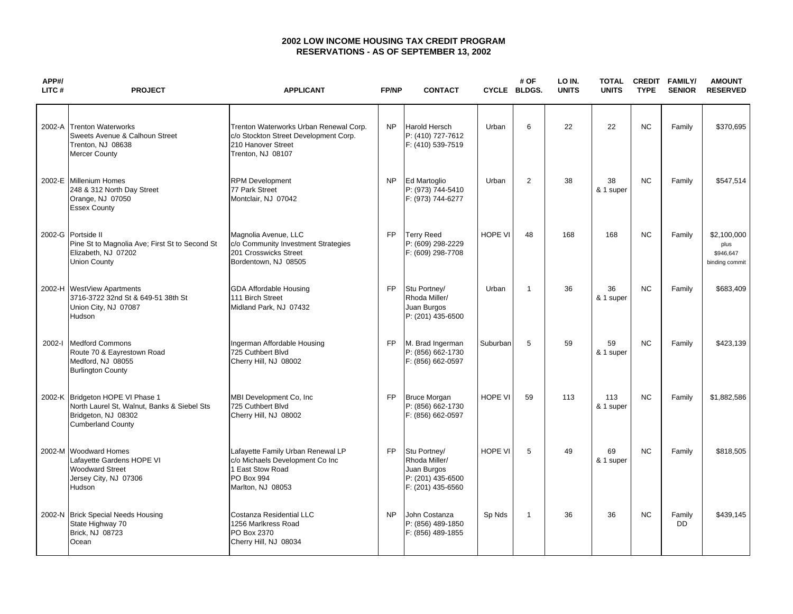## **2002 LOW INCOME HOUSING TAX CREDIT PROGRAM RESERVATIONS - AS OF SEPTEMBER 13, 2002**

| APP#/<br>LITC# | <b>PROJECT</b>                                                                                                                     | <b>APPLICANT</b>                                                                                                            | <b>FP/NP</b> | <b>CONTACT</b>                                                                         | CYCLE BLDGS.   | # OF         | LO IN.<br><b>UNITS</b> | <b>TOTAL</b><br><b>UNITS</b> | <b>CREDIT</b><br><b>TYPE</b> | <b>FAMILY/</b><br><b>SENIOR</b> | <b>AMOUNT</b><br><b>RESERVED</b>                   |
|----------------|------------------------------------------------------------------------------------------------------------------------------------|-----------------------------------------------------------------------------------------------------------------------------|--------------|----------------------------------------------------------------------------------------|----------------|--------------|------------------------|------------------------------|------------------------------|---------------------------------|----------------------------------------------------|
|                | 2002-A Trenton Waterworks<br>Sweets Avenue & Calhoun Street<br>Trenton, NJ 08638<br>Mercer County                                  | Trenton Waterworks Urban Renewal Corp.<br>c/o Stockton Street Development Corp.<br>210 Hanover Street<br>Trenton, NJ 08107  | <b>NP</b>    | <b>Harold Hersch</b><br>P: (410) 727-7612<br>F: (410) 539-7519                         | Urban          | 6            | 22                     | 22                           | <b>NC</b>                    | Family                          | \$370,695                                          |
|                | 2002-E Millenium Homes<br>248 & 312 North Day Street<br>Orange, NJ 07050<br><b>Essex County</b>                                    | <b>RPM Development</b><br>77 Park Street<br>Montclair, NJ 07042                                                             | <b>NP</b>    | Ed Martoglio<br>P: (973) 744-5410<br>F: (973) 744-6277                                 | Urban          | 2            | 38                     | 38<br>& 1 super              | <b>NC</b>                    | Family                          | \$547.514                                          |
|                | 2002-G Portside II<br>Pine St to Magnolia Ave; First St to Second St<br>Elizabeth, NJ 07202<br><b>Union County</b>                 | Magnolia Avenue, LLC<br>c/o Community Investment Strategies<br>201 Crosswicks Street<br>Bordentown, NJ 08505                | FP           | <b>Terry Reed</b><br>P: (609) 298-2229<br>F: (609) 298-7708                            | <b>HOPE VI</b> | 48           | 168                    | 168                          | <b>NC</b>                    | Family                          | \$2,100,000<br>plus<br>\$946,647<br>binding commit |
|                | 2002-H WestView Apartments<br>3716-3722 32nd St & 649-51 38th St<br>Union City, NJ 07087<br>Hudson                                 | <b>GDA Affordable Housing</b><br>111 Birch Street<br>Midland Park, NJ 07432                                                 | <b>FP</b>    | Stu Portney/<br>Rhoda Miller/<br>Juan Burgos<br>P: (201) 435-6500                      | Urban          | $\mathbf{1}$ | 36                     | 36<br>& 1 super              | <b>NC</b>                    | Family                          | \$683,409                                          |
| 2002-l         | <b>Medford Commons</b><br>Route 70 & Eayrestown Road<br>Medford, NJ 08055<br><b>Burlington County</b>                              | Ingerman Affordable Housing<br>725 Cuthbert Blvd<br>Cherry Hill, NJ 08002                                                   | <b>FP</b>    | M. Brad Ingerman<br>P: (856) 662-1730<br>F: (856) 662-0597                             | Suburban       | 5            | 59                     | 59<br>& 1 super              | <b>NC</b>                    | Family                          | \$423,139                                          |
|                | 2002-K Bridgeton HOPE VI Phase 1<br>North Laurel St, Walnut, Banks & Siebel Sts<br>Bridgeton, NJ 08302<br><b>Cumberland County</b> | MBI Development Co, Inc.<br>725 Cuthbert Blvd<br>Cherry Hill, NJ 08002                                                      | <b>FP</b>    | <b>Bruce Morgan</b><br>P: (856) 662-1730<br>F: (856) 662-0597                          | <b>HOPE VI</b> | 59           | 113                    | 113<br>& 1 super             | <b>NC</b>                    | Family                          | \$1,882,586                                        |
|                | 2002-M Woodward Homes<br>Lafayette Gardens HOPE VI<br><b>Woodward Street</b><br>Jersey City, NJ 07306<br>Hudson                    | Lafayette Family Urban Renewal LP<br>c/o Michaels Development Co Inc<br>1 East Stow Road<br>PO Box 994<br>Marlton, NJ 08053 | FP.          | Stu Portney/<br>Rhoda Miller/<br>Juan Burgos<br>P: (201) 435-6500<br>F: (201) 435-6560 | <b>HOPE VI</b> | 5            | 49                     | 69<br>& 1 super              | <b>NC</b>                    | Family                          | \$818,505                                          |
|                | 2002-N Brick Special Needs Housing<br>State Highway 70<br>Brick, NJ 08723<br>Ocean                                                 | <b>Costanza Residential LLC</b><br>1256 Marlkress Road<br>PO Box 2370<br>Cherry Hill, NJ 08034                              | <b>NP</b>    | John Costanza<br>P: (856) 489-1850<br>F: (856) 489-1855                                | Sp Nds         | $\mathbf{1}$ | 36                     | 36                           | <b>NC</b>                    | Family<br><b>DD</b>             | \$439,145                                          |